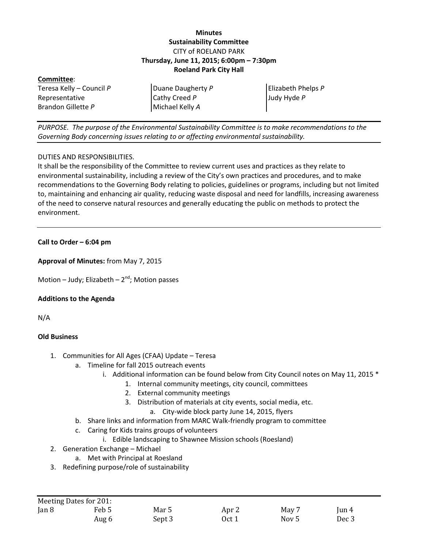## **Minutes Sustainability Committee** CITY of ROELAND PARK **Thursday, June 11, 2015; 6:00pm – 7:30pm Roeland Park City Hall**

### **Committee** :

Teresa Kelly – Council *P* Representative Brandon Gillette *P*

Duane Daugherty *P* Cathy Creed *P* Michael Kelly *A*

Elizabeth Phelps *P* Judy Hyde *P*

*PURPOSE. The purpose of the Environmental Sustainability Committee is to make recommendations to the Governing Body concerning issues relating to or affecting environmental sustainability.*

## DUTIES AND RESPONSIBILITIES.

It shall be the responsibility of the Committee to review current uses and practices as they relate to environmental sustainability, including a review of the City's own practices and procedures, and to make recommendations to the Governing Body relating to policies, guidelines or programs, including but not limited to, maintaining and enhancing air quality, reducing waste disposal and need for landfills, increasing awareness of the need to conserve natural resources and generally educating the public on methods to protect the environment.

## **Call to Order – 6:04 pm**

**Approval of Minutes:** from May 7, 2015

Motion – Judy; Elizabeth –  $2^{nd}$ ; Motion passes

# **Additions to the Agenda**

N/A

# **Old Business**

- 1. Communities for All Ages (CFAA) Update Teresa
	- a. Timeline for fall 2015 outreach events
		- i. Additional information can be found below from City Council notes on May 11, 2015  $*$ 
			- 1. Internal community meetings, city council, committees
			- 2. External community meetings
			- 3. Distribution of materials at city events, social media, etc.
				- a. City-wide block party June 14, 2015, flyers
	- b. Share links and information from MARC Walk-friendly program to committee
	- c. Caring for Kids trains groups of volunteers
		- i. Edible landscaping to Shawnee Mission schools (Roesland)
- 2. Generation Exchange Michael
	- a. Met with Principal at Roesland
- 3. Redefining purpose/role of sustainability

|       | Meeting Dates for 201: |        |       |       |          |
|-------|------------------------|--------|-------|-------|----------|
| Jan 8 | Feb 5                  | Mar 5  | Apr 2 | May 7 | $\tan 4$ |
|       | Aug 6                  | Sept 3 | Oct 1 | Nov 5 | Dec 3    |